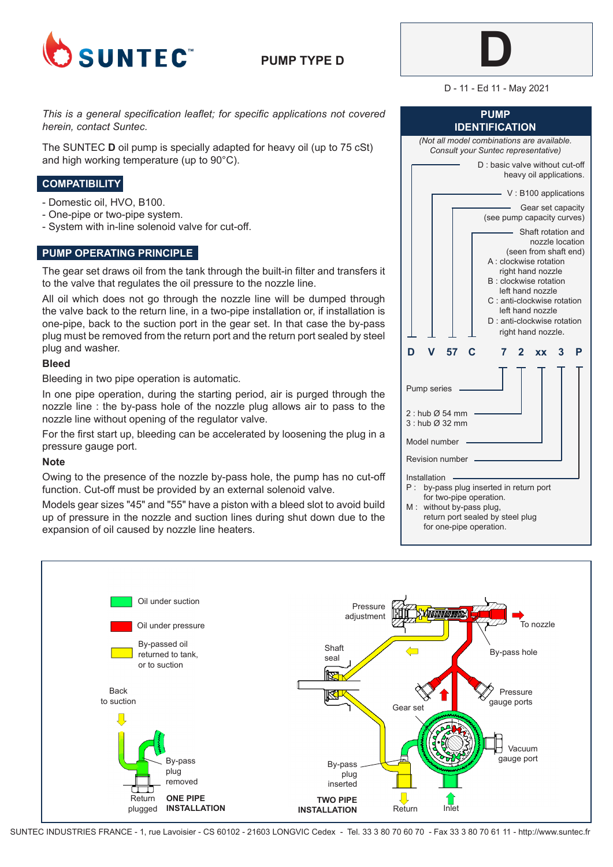

**PUMP TYPE D**



D - 11 - Ed 11 - May 2021

**PUMP IDENTIFICATION**

*This is a general specification leaflet; for specific applications not covered herein, contact Suntec.*

The SUNTEC **D** oil pump is specially adapted for heavy oil (up to 75 cSt) and high working temperature (up to 90°C).

# **COMPATIBILITY**

- Domestic oil, HVO, B100.
- One-pipe or two-pipe system.
- System with in-line solenoid valve for cut-off.

### **PUMP OPERATING PRINCIPLE**

The gear set draws oil from the tank through the built-in filter and transfers it to the valve that regulates the oil pressure to the nozzle line.

All oil which does not go through the nozzle line will be dumped through the valve back to the return line, in a two-pipe installation or, if installation is one-pipe, back to the suction port in the gear set. In that case the by-pass plug must be removed from the return port and the return port sealed by steel plug and washer.

#### **Bleed**

Bleeding in two pipe operation is automatic.

In one pipe operation, during the starting period, air is purged through the nozzle line : the by-pass hole of the nozzle plug allows air to pass to the nozzle line without opening of the regulator valve.

For the first start up, bleeding can be accelerated by loosening the plug in a pressure gauge port.

#### **Note**

Owing to the presence of the nozzle by-pass hole, the pump has no cut-off function. Cut-off must be provided by an external solenoid valve.

Models gear sizes "45" and "55" have a piston with a bleed slot to avoid build up of pressure in the nozzle and suction lines during shut down due to the expansion of oil caused by nozzle line heaters.

| (Not all model combinations are available.<br>Consult your Suntec representative)                                                                                                                                                                                |
|------------------------------------------------------------------------------------------------------------------------------------------------------------------------------------------------------------------------------------------------------------------|
| D : basic valve without cut-off<br>heavy oil applications.                                                                                                                                                                                                       |
| V: B100 applications                                                                                                                                                                                                                                             |
| Gear set capacity<br>(see pump capacity curves)                                                                                                                                                                                                                  |
| Shaft rotation and<br>nozzle location<br>(seen from shaft end)<br>A : clockwise rotation<br>right hand nozzle<br>B: clockwise rotation<br>left hand nozzle<br>C: anti-clockwise rotation<br>left hand nozzle<br>D: anti-clockwise rotation<br>right hand nozzle. |
| 57<br>3<br>7<br>2<br>Р<br><b>XX</b>                                                                                                                                                                                                                              |
| Pump series                                                                                                                                                                                                                                                      |
| $2:$ hub $\varnothing$ 54 mm<br>3: hub Ø 32 mm                                                                                                                                                                                                                   |
| Model number                                                                                                                                                                                                                                                     |
| Revision number                                                                                                                                                                                                                                                  |
| Installation<br>Р:<br>by-pass plug inserted in return port<br>for two-pipe operation.<br>M:<br>without by-pass plug,<br>return port sealed by steel plug<br>for one-pipe operation.                                                                              |